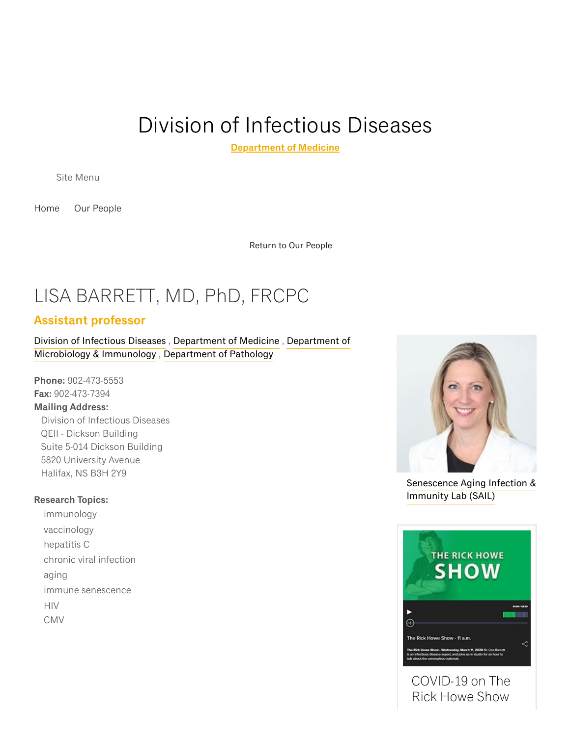# Division of [Infectious](https://medicine.dal.ca/departments/department-sites/medicine/divisions/infectious-diseases.html) Diseases

[Department](https://medicine.dal.ca/departments/department-sites/medicine.html) of Medicine

Site Menu

[Home](https://medicine.dal.ca/departments/department-sites/medicine/divisions/infectious-diseases.html) Our [People](https://medicine.dal.ca/departments/department-sites/medicine/divisions/infectious-diseases/our-people.html)

[Return](https://medicine.dal.ca/departments/department-sites/medicine/divisions/infectious-diseases/our-people.html) to Our People

## LISA BARRETT, MD, PhD, FRCPC

#### Assistant professor

Division of [Infectious](https://medicine.dal.ca/departments/department-sites/medicine/divisions/infectious-diseases.html) Diseases , [Department](https://medicine.dal.ca/departments/department-sites/medicine.html) of Medicine , Department of [Microbiology](https://medicine.dal.ca/departments/department-sites/microbiology.html) & Immunology , [Department](https://medicine.dal.ca/departments/department-sites/pathology.html) of Pathology

Phone: 902-473-5553 Fax: 902-473-7394 Mailing Address: Division of Infectious Diseases QEII - Dickson Building Suite 5-014 Dickson Building 5820 University Avenue Halifax, NS B3H 2Y9

#### Research Topics:

immunology vaccinology hepatitis C chronic viral infection aging immune senescence HIV CMV



[Senescence](https://www.dal.ca/sites/sail.html) Aging Infection & Immunity Lab (SAIL)



Rick Howe Show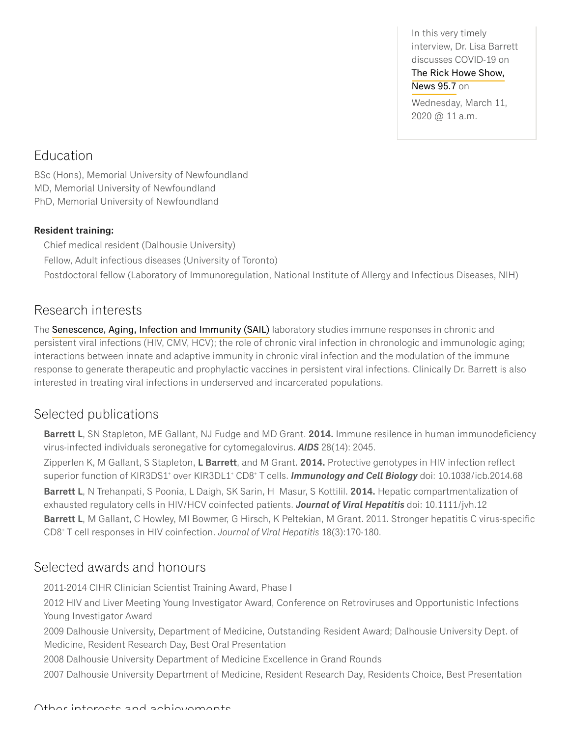In this very timely interview, Dr. Lisa Barrett discusses COVID-19 on The Rick Howe [Show,](https://www.news957.com/audio/the-rick-howe-show/) News 95.7 on Wednesday, March 11, 2020 @ 11 a.m.

### Education

BSc (Hons), Memorial University of Newfoundland MD, Memorial University of Newfoundland PhD, Memorial University of Newfoundland

#### Resident training:

Chief medical resident (Dalhousie University) Fellow, Adult infectious diseases (University of Toronto) Postdoctoral fellow (Laboratory of Immunoregulation, National Institute of Allergy and Infectious Diseases, NIH)

### Research interests

The [Senescence,](http://www.dal.ca/sites/sail.html) Aging, Infection and Immunity (SAIL) laboratory studies immune responses in chronic and persistent viral infections (HIV, CMV, HCV); the role of chronic viral infection in chronologic and immunologic aging; interactions between innate and adaptive immunity in chronic viral infection and the modulation of the immune response to generate therapeutic and prophylactic vaccines in persistent viral infections. Clinically Dr. Barrett is also interested in treating viral infections in underserved and incarcerated populations.

## Selected publications

Barrett L, SN Stapleton, ME Gallant, NJ Fudge and MD Grant. 2014. Immune resilence in human immunodeficiency virus-infected individuals seronegative for cytomegalovirus. AIDS 28(14): 2045.

Zipperlen K, M Gallant, S Stapleton, L Barrett, and M Grant. 2014. Protective genotypes in HIV infection reflect superior function of KIR3DS1<sup>+</sup> over KIR3DL1<sup>+</sup> CD8<sup>+</sup> T cells. **Immunology and Cell Biology** doi: 10.1038/icb.2014.68 Barrett L, N Trehanpati, S Poonia, L Daigh, SK Sarin, H Masur, S Kottilil. 2014. Hepatic compartmentalization of exhausted regulatory cells in HIV/HCV coinfected patients. Journal of Viral Hepatitis doi: 10.1111/jvh.12 Barrett L, M Gallant, C Howley, MI Bowmer, G Hirsch, K Peltekian, M Grant. 2011. Stronger hepatitis C virus-specific CD8 <sup>+</sup> T cell responses in HIV coinfection. Journal of Viral Hepatitis 18(3):170-180.

## Selected awards and honours

2011-2014 CIHR Clinician Scientist Training Award, Phase I

2012 HIV and Liver Meeting Young Investigator Award, Conference on Retroviruses and Opportunistic Infections Young Investigator Award

2009 Dalhousie University, Department of Medicine, Outstanding Resident Award; Dalhousie University Dept. of Medicine, Resident Research Day, Best Oral Presentation

2008 Dalhousie University Department of Medicine Excellence in Grand Rounds

2007 Dalhousie University Department of Medicine, Resident Research Day, Residents Choice, Best Presentation